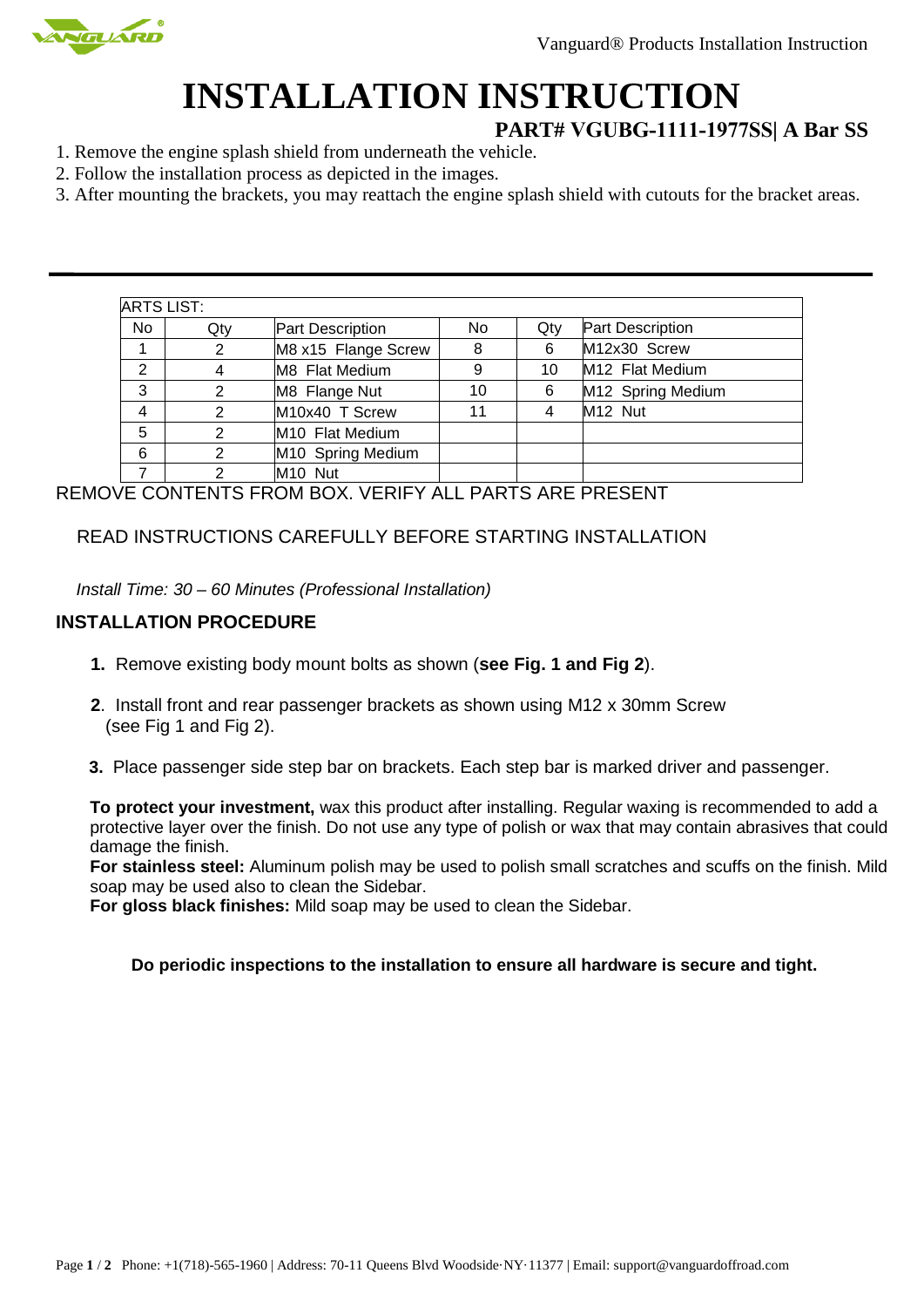

# **INSTALLATION INSTRUCTION**

## **PART# VGUBG-1111-1977SS| A Bar SS**

- 1. Remove the engine splash shield from underneath the vehicle.
- 2. Follow the installation process as depicted in the images.
- 3. After mounting the brackets, you may reattach the engine splash shield with cutouts for the bracket areas.

| <b>ARTS LIST:</b> |     |                             |     |     |                     |
|-------------------|-----|-----------------------------|-----|-----|---------------------|
| <b>No</b>         | Qty | <b>Part Description</b>     | No. | Qtv | Part Description    |
|                   | 2   | M8 x15 Flange Screw         | 8   | 6   | M12x30 Screw        |
| $\mathbf{2}$      |     | M8 Flat Medium              | 9   | 10  | M12 Flat Medium     |
| 3                 | 2   | M8 Flange Nut               | 10  | 6   | M12 Spring Medium   |
| 4                 | 2   | M10x40 T Screw              | 11  | 4   | M <sub>12</sub> Nut |
| 5                 | າ   | M <sub>10</sub> Flat Medium |     |     |                     |
| 6                 | 2   | M10 Spring Medium           |     |     |                     |
|                   | ⌒   | M <sub>10</sub> Nut         |     |     |                     |

REMOVE CONTENTS FROM BOX. VERIFY ALL PARTS ARE PRESENT

# READ INSTRUCTIONS CAREFULLY BEFORE STARTING INSTALLATION

*Install Time: 30 – 60 Minutes (Professional Installation)*

#### **INSTALLATION PROCEDURE**

- **1.** Remove existing body mount bolts as shown (**see Fig. 1 and Fig 2**).
- **2**. Install front and rear passenger brackets as shown using M12 x 30mm Screw (see Fig 1 and Fig 2).
- **3.** Place passenger side step bar on brackets. Each step bar is marked driver and passenger.

**To protect your investment,** wax this product after installing. Regular waxing is recommended to add a protective layer over the finish. Do not use any type of polish or wax that may contain abrasives that could damage the finish.

**For stainless steel:** Aluminum polish may be used to polish small scratches and scuffs on the finish. Mild soap may be used also to clean the Sidebar.

**For gloss black finishes:** Mild soap may be used to clean the Sidebar.

#### **Do periodic inspections to the installation to ensure all hardware is secure and tight.**